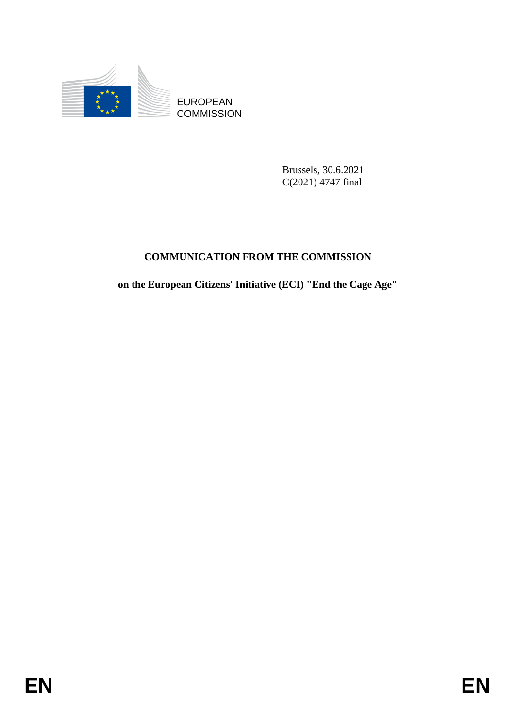

**COMMISSION** 

Brussels, 30.6.2021 C(2021) 4747 final

# **COMMUNICATION FROM THE COMMISSION**

EUROPEAN<br>
ECOMMISSION<br>
ENGEL (2020) 4747 lind<br>
COMMINICATION FROM THE COMMISSION<br>
on the European Citizens' Initiative (ECD "End the Cage Age"<br>
FIN **on the European Citizens' Initiative (ECI) "End the Cage Age"**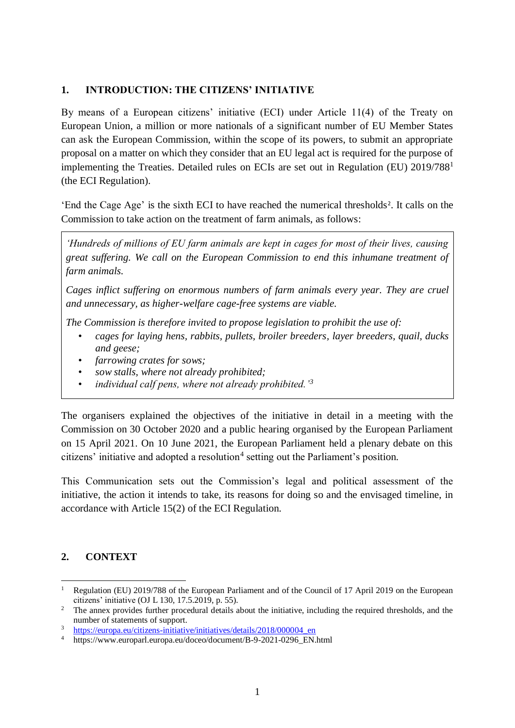#### **1. INTRODUCTION: THE CITIZENS' INITIATIVE**

By means of a European citizens' initiative (ECI) under Article 11(4) of the Treaty on European Union, a million or more nationals of a significant number of EU Member States can ask the European Commission, within the scope of its powers, to submit an appropriate proposal on a matter on which they consider that an EU legal act is required for the purpose of implementing the Treaties. Detailed rules on ECIs are set out in Regulation (EU) 2019/788<sup>1</sup> (the ECI Regulation).

'End the Cage Age' is the sixth ECI to have reached the numerical thresholds<sup>2</sup>. It calls on the Commission to take action on the treatment of farm animals, as follows:

*'Hundreds of millions of EU farm animals are kept in cages for most of their lives, causing great suffering. We call on the European Commission to end this inhumane treatment of farm animals.*

*Cages inflict suffering on enormous numbers of farm animals every year. They are cruel and unnecessary, as higher-welfare cage-free systems are viable.*

*The Commission is therefore invited to propose legislation to prohibit the use of:*

- *cages for laying hens, rabbits, pullets, broiler breeders, layer breeders, quail, ducks and geese;*
- *farrowing crates for sows;*
- *sow stalls, where not already prohibited;*
- *individual calf pens, where not already prohibited.'<sup>3</sup>*

The organisers explained the objectives of the initiative in detail in a meeting with the Commission on 30 October 2020 and a public hearing organised by the European Parliament on 15 April 2021. On 10 June 2021, the European Parliament held a plenary debate on this citizens' initiative and adopted a resolution<sup>4</sup> setting out the Parliament's position.

This Communication sets out the Commission's legal and political assessment of the initiative, the action it intends to take, its reasons for doing so and the envisaged timeline, in accordance with Article 15(2) of the ECI Regulation.

# **2. CONTEXT**

 $\overline{a}$ 

<sup>1</sup> Regulation (EU) 2019/788 of the European Parliament and of the Council of 17 April 2019 on the European citizens' initiative (OJ L 130, 17.5.2019, p. 55).

<sup>&</sup>lt;sup>2</sup> The annex provides further procedural details about the initiative, including the required thresholds, and the number of statements of support.

<sup>3</sup> [https://europa.eu/citizens-initiative/initiatives/details/2018/000004\\_en](https://europa.eu/citizens-initiative/initiatives/details/2018/000004_en)

<sup>4</sup> https://www.europarl.europa.eu/doceo/document/B-9-2021-0296\_EN.html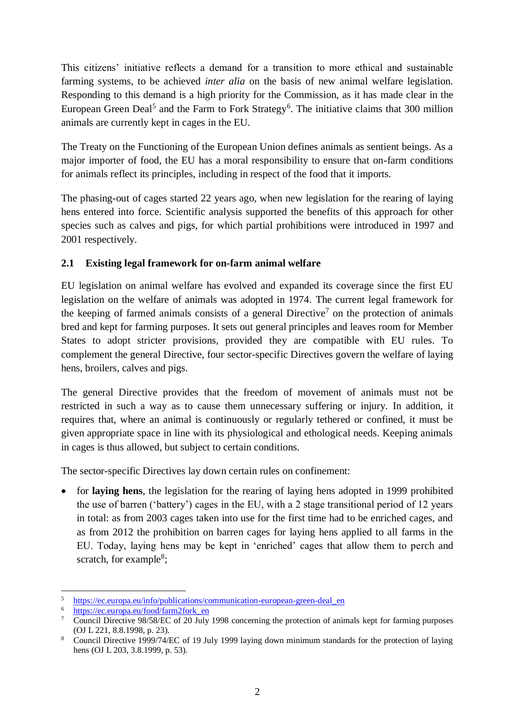This citizens' initiative reflects a demand for a transition to more ethical and sustainable farming systems, to be achieved *inter alia* on the basis of new animal welfare legislation. Responding to this demand is a high priority for the Commission, as it has made clear in the European Green Deal<sup>5</sup> and the Farm to Fork Strategy<sup>6</sup>. The initiative claims that 300 million animals are currently kept in cages in the EU.

The Treaty on the Functioning of the European Union defines animals as sentient beings. As a major importer of food, the EU has a moral responsibility to ensure that on-farm conditions for animals reflect its principles, including in respect of the food that it imports.

The phasing-out of cages started 22 years ago, when new legislation for the rearing of laying hens entered into force. Scientific analysis supported the benefits of this approach for other species such as calves and pigs, for which partial prohibitions were introduced in 1997 and 2001 respectively.

# **2.1 Existing legal framework for on-farm animal welfare**

EU legislation on animal welfare has evolved and expanded its coverage since the first EU legislation on the welfare of animals was adopted in 1974. The current legal framework for the keeping of farmed animals consists of a general Directive<sup>7</sup> on the protection of animals bred and kept for farming purposes. It sets out general principles and leaves room for Member States to adopt stricter provisions, provided they are compatible with EU rules. To complement the general Directive, four sector-specific Directives govern the welfare of laying hens, broilers, calves and pigs.

The general Directive provides that the freedom of movement of animals must not be restricted in such a way as to cause them unnecessary suffering or injury. In addition, it requires that, where an animal is continuously or regularly tethered or confined, it must be given appropriate space in line with its physiological and ethological needs. Keeping animals in cages is thus allowed, but subject to certain conditions.

The sector-specific Directives lay down certain rules on confinement:

• for **laying hens**, the legislation for the rearing of laying hens adopted in 1999 prohibited the use of barren ('battery') cages in the EU, with a 2 stage transitional period of 12 years in total: as from 2003 cages taken into use for the first time had to be enriched cages, and as from 2012 the prohibition on barren cages for laying hens applied to all farms in the EU. Today, laying hens may be kept in 'enriched' cages that allow them to perch and scratch, for example<sup>8</sup>;

 $\overline{a}$ 5 <sup>5</sup> [https://ec.europa.eu/info/publications/communication-european-green-deal\\_en](https://ec.europa.eu/info/publications/communication-european-green-deal_en)<br>
thres://ec.europe.eu/food/form2fork.en

[https://ec.europa.eu/food/farm2fork\\_en](https://ec.europa.eu/food/farm2fork_en)

<sup>&</sup>lt;sup>7</sup> Council Directive 98/58/EC of 20 July 1998 concerning the protection of animals kept for farming purposes (OJ L 221, 8.8.1998, p. 23).

<sup>8</sup> Council Directive 1999/74/EC of 19 July 1999 laying down minimum standards for the protection of laying hens (OJ L 203, 3.8.1999, p. 53).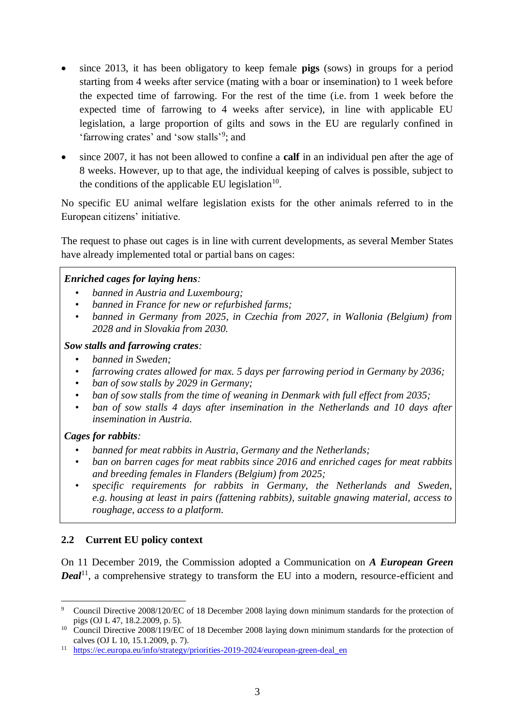- since 2013, it has been obligatory to keep female **pigs** (sows) in groups for a period starting from 4 weeks after service (mating with a boar or insemination) to 1 week before the expected time of farrowing. For the rest of the time (i.e. from 1 week before the expected time of farrowing to 4 weeks after service), in line with applicable EU legislation, a large proportion of gilts and sows in the EU are regularly confined in 'farrowing crates' and 'sow stalls'<sup>9</sup>; and
- since 2007, it has not been allowed to confine a **calf** in an individual pen after the age of 8 weeks. However, up to that age, the individual keeping of calves is possible, subject to the conditions of the applicable EU legislation<sup>10</sup>.

No specific EU animal welfare legislation exists for the other animals referred to in the European citizens' initiative.

The request to phase out cages is in line with current developments, as several Member States have already implemented total or partial bans on cages:

#### *Enriched cages for laying hens:*

- *banned in Austria and Luxembourg;*
- *banned in France for new or refurbished farms;*
- *banned in Germany from 2025, in Czechia from 2027, in Wallonia (Belgium) from 2028 and in Slovakia from 2030.*

#### *Sow stalls and farrowing crates:*

- *banned in Sweden;*
- *farrowing crates allowed for max. 5 days per farrowing period in Germany by 2036;*
- *ban of sow stalls by 2029 in Germany;*
- *ban of sow stalls from the time of weaning in Denmark with full effect from 2035;*
- *ban of sow stalls 4 days after insemination in the Netherlands and 10 days after insemination in Austria.*

# *Cages for rabbits:*

- *banned for meat rabbits in Austria, Germany and the Netherlands;*
- *ban on barren cages for meat rabbits since 2016 and enriched cages for meat rabbits and breeding females in Flanders (Belgium) from 2025;*
- *specific requirements for rabbits in Germany, the Netherlands and Sweden, e.g. housing at least in pairs (fattening rabbits), suitable gnawing material, access to roughage, access to a platform.*

# **2.2 Current EU policy context**

On 11 December 2019, the Commission adopted a Communication on *A European Green Deal*<sup>11</sup>, a comprehensive strategy to transform the EU into a modern, resource-efficient and

 $\overline{a}$ <sup>9</sup> Council Directive 2008/120/EC of 18 December 2008 laying down minimum standards for the protection of pigs (OJ L 47, 18.2.2009, p. 5).

<sup>&</sup>lt;sup>10</sup> Council Directive 2008/119/EC of 18 December 2008 laying down minimum standards for the protection of calves (OJ L 10, 15.1.2009, p. 7).

<sup>&</sup>lt;sup>11</sup> https://ec.europa.eu/info/strategy/priorities-2019-2024/european-green-deal en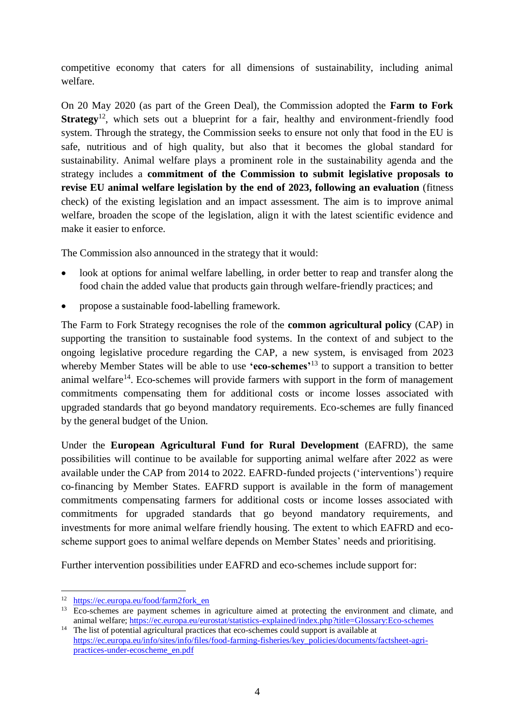competitive economy that caters for all dimensions of sustainability, including animal welfare.

On 20 May 2020 (as part of the Green Deal), the Commission adopted the **Farm to Fork Strategy**<sup>12</sup>, which sets out a blueprint for a fair, healthy and environment-friendly food system. Through the strategy, the Commission seeks to ensure not only that food in the EU is safe, nutritious and of high quality, but also that it becomes the global standard for sustainability. Animal welfare plays a prominent role in the sustainability agenda and the strategy includes a **commitment of the Commission to submit legislative proposals to revise EU animal welfare legislation by the end of 2023, following an evaluation** (fitness check) of the existing legislation and an impact assessment. The aim is to improve animal welfare, broaden the scope of the legislation, align it with the latest scientific evidence and make it easier to enforce.

The Commission also announced in the strategy that it would:

- look at options for animal welfare labelling, in order better to reap and transfer along the food chain the added value that products gain through welfare-friendly practices; and
- propose a sustainable food-labelling framework.

The Farm to Fork Strategy recognises the role of the **common agricultural policy** (CAP) in supporting the transition to sustainable food systems. In the context of and subject to the ongoing legislative procedure regarding the CAP, a new system, is envisaged from 2023 whereby Member States will be able to use **'eco-schemes'**<sup>13</sup> to support a transition to better animal welfare<sup>14</sup>. Eco-schemes will provide farmers with support in the form of management commitments compensating them for additional costs or income losses associated with upgraded standards that go beyond mandatory requirements. Eco-schemes are fully financed by the general budget of the Union.

Under the **European Agricultural Fund for Rural Development** (EAFRD), the same possibilities will continue to be available for supporting animal welfare after 2022 as were available under the CAP from 2014 to 2022. EAFRD-funded projects ('interventions') require co-financing by Member States. EAFRD support is available in the form of management commitments compensating farmers for additional costs or income losses associated with commitments for upgraded standards that go beyond mandatory requirements, and investments for more animal welfare friendly housing. The extent to which EAFRD and ecoscheme support goes to animal welfare depends on Member States' needs and prioritising.

Further intervention possibilities under EAFRD and eco-schemes include support for:

 $\overline{a}$ <sup>12</sup> [https://ec.europa.eu/food/farm2fork\\_en](https://ec.europa.eu/food/farm2fork_en)

<sup>&</sup>lt;sup>13</sup> Eco-schemes are payment schemes in agriculture aimed at protecting the environment and climate, and animal welfare;<https://ec.europa.eu/eurostat/statistics-explained/index.php?title=Glossary:Eco-schemes>

<sup>&</sup>lt;sup>14</sup> The list of potential agricultural practices that eco-schemes could support is available at [https://ec.europa.eu/info/sites/info/files/food-farming-fisheries/key\\_policies/documents/factsheet-agri](https://ec.europa.eu/info/sites/info/files/food-farming-fisheries/key_policies/documents/factsheet-agri-practices-under-ecoscheme_en.pdf)[practices-under-ecoscheme\\_en.pdf](https://ec.europa.eu/info/sites/info/files/food-farming-fisheries/key_policies/documents/factsheet-agri-practices-under-ecoscheme_en.pdf)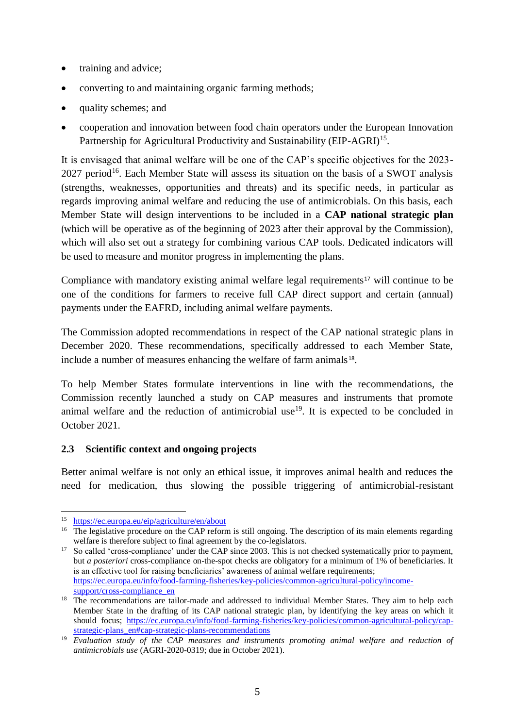- training and advice;
- converting to and maintaining organic farming methods;
- quality schemes; and
- cooperation and innovation between food chain operators under the European Innovation Partnership for Agricultural Productivity and Sustainability (EIP-AGRI)<sup>15</sup>.

It is envisaged that animal welfare will be one of the CAP's specific objectives for the 2023-  $2027$  period<sup>16</sup>. Each Member State will assess its situation on the basis of a SWOT analysis (strengths, weaknesses, opportunities and threats) and its specific needs, in particular as regards improving animal welfare and reducing the use of antimicrobials. On this basis, each Member State will design interventions to be included in a **CAP national strategic plan** (which will be operative as of the beginning of 2023 after their approval by the Commission), which will also set out a strategy for combining various CAP tools. Dedicated indicators will be used to measure and monitor progress in implementing the plans.

Compliance with mandatory existing animal welfare legal requirements<sup>17</sup> will continue to be one of the conditions for farmers to receive full CAP direct support and certain (annual) payments under the EAFRD, including animal welfare payments.

The Commission adopted recommendations in respect of the CAP national strategic plans in December 2020. These recommendations, specifically addressed to each Member State, include a number of measures enhancing the welfare of farm animals<sup>18</sup>.

To help Member States formulate interventions in line with the recommendations, the Commission recently launched a study on CAP measures and instruments that promote animal welfare and the reduction of antimicrobial use<sup>19</sup>. It is expected to be concluded in October 2021.

#### **2.3 Scientific context and ongoing projects**

Better animal welfare is not only an ethical issue, it improves animal health and reduces the need for medication, thus slowing the possible triggering of antimicrobial-resistant

<sup>1</sup> <sup>15</sup> <https://ec.europa.eu/eip/agriculture/en/about>

<sup>&</sup>lt;sup>16</sup> The legislative procedure on the CAP reform is still ongoing. The description of its main elements regarding welfare is therefore subject to final agreement by the co-legislators.

<sup>&</sup>lt;sup>17</sup> So called 'cross-compliance' under the CAP since 2003. This is not checked systematically prior to payment, but *a posteriori* cross-compliance on-the-spot checks are obligatory for a minimum of 1% of beneficiaries. It is an effective tool for raising beneficiaries' awareness of animal welfare requirements; [https://ec.europa.eu/info/food-farming-fisheries/key-policies/common-agricultural-policy/income](https://ec.europa.eu/info/food-farming-fisheries/key-policies/common-agricultural-policy/income-support/cross-compliance_en)[support/cross-compliance\\_en](https://ec.europa.eu/info/food-farming-fisheries/key-policies/common-agricultural-policy/income-support/cross-compliance_en)

<sup>&</sup>lt;sup>18</sup> The recommendations are tailor-made and addressed to individual Member States. They aim to help each Member State in the drafting of its CAP national strategic plan, by identifying the key areas on which it should focus; [https://ec.europa.eu/info/food-farming-fisheries/key-policies/common-agricultural-policy/cap](https://ec.europa.eu/info/food-farming-fisheries/key-policies/common-agricultural-policy/cap-strategic-plans_en#cap-strategic-plans-recommendations)strategic-plans en#cap-strategic-plans-recommendations

<sup>&</sup>lt;sup>19</sup> *Evaluation study of the CAP measures and instruments promoting animal welfare and reduction of antimicrobials use* (AGRI-2020-0319; due in October 2021).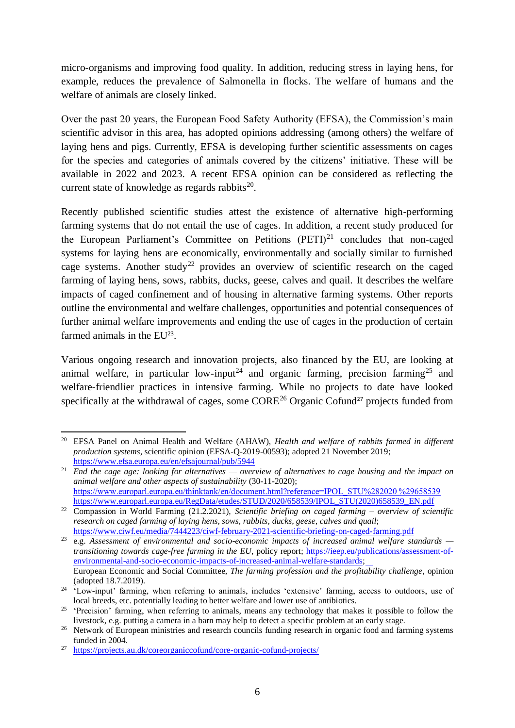micro-organisms and improving food quality. In addition, reducing stress in laying hens, for example, reduces the prevalence of Salmonella in flocks. The welfare of humans and the welfare of animals are closely linked.

Over the past 20 years, the European Food Safety Authority (EFSA), the Commission's main scientific advisor in this area, has adopted opinions addressing (among others) the welfare of laying hens and pigs. Currently, EFSA is developing further scientific assessments on cages for the species and categories of animals covered by the citizens' initiative. These will be available in 2022 and 2023. A recent EFSA opinion can be considered as reflecting the current state of knowledge as regards rabbits $^{20}$ .

Recently published scientific studies attest the existence of alternative high-performing farming systems that do not entail the use of cages. In addition, a recent study produced for the European Parliament's Committee on Petitions  $(PETI)^{21}$  concludes that non-caged systems for laying hens are economically, environmentally and socially similar to furnished cage systems. Another study<sup>22</sup> provides an overview of scientific research on the caged farming of laying hens, sows, rabbits, ducks, geese, calves and quail. It describes the welfare impacts of caged confinement and of housing in alternative farming systems. Other reports outline the environmental and welfare challenges, opportunities and potential consequences of further animal welfare improvements and ending the use of cages in the production of certain farmed animals in the EU<sup>23</sup>.

Various ongoing research and innovation projects, also financed by the EU, are looking at animal welfare, in particular low-input<sup>24</sup> and organic farming, precision farming<sup>25</sup> and welfare-friendlier practices in intensive farming. While no projects to date have looked specifically at the withdrawal of cages, some CORE<sup>26</sup> Organic Cofund<sup>27</sup> projects funded from

 $\overline{a}$ <sup>20</sup> EFSA Panel on Animal Health and Welfare (AHAW), *Health and welfare of rabbits farmed in different production systems*, scientific opinion (EFSA-Q-2019-00593); adopted 21 November 2019; <https://www.efsa.europa.eu/en/efsajournal/pub/5944>

<sup>21</sup> *End the cage age: looking for alternatives — overview of alternatives to cage housing and the impact on animal welfare and other aspects of sustainability* (30-11-2020); [https://www.europarl.europa.eu/thinktank/en/document.html?reference=IPOL\\_STU%282020 %29658539](https://www.europarl.europa.eu/thinktank/en/document.html?reference=IPOL_STU%282020%29658539) [https://www.europarl.europa.eu/RegData/etudes/STUD/2020/658539/IPOL\\_STU\(2020\)658539\\_EN.pdf](https://www.europarl.europa.eu/RegData/etudes/STUD/2020/658539/IPOL_STU(2020)658539_EN.pdf)

<sup>22</sup> Compassion in World Farming (21.2.2021), *Scientific briefing on caged farming – overview of scientific research on caged farming of laying hens, sows, rabbits, ducks, geese, calves and quail*; <https://www.ciwf.eu/media/7444223/ciwf-february-2021-scientific-briefing-on-caged-farming.pdf>

<sup>23</sup> e.g. *Assessment of environmental and socio-economic impacts of increased animal welfare standards transitioning towards cage-free farming in the EU*, policy report; [https://ieep.eu/publications/assessment-of](https://ieep.eu/publications/assessment-of-environmental-and-socio-economic-impacts-of-increased-animal-welfare-standards)[environmental-and-socio-economic-impacts-of-increased-animal-welfare-standards;](https://ieep.eu/publications/assessment-of-environmental-and-socio-economic-impacts-of-increased-animal-welfare-standards) European Economic and Social Committee, *The farming profession and the profitability challenge*, opinion (adopted 18.7.2019).

<sup>&</sup>lt;sup>24</sup> 'Low-input' farming, when referring to animals, includes 'extensive' farming, access to outdoors, use of local breeds, etc. potentially leading to better welfare and lower use of antibiotics.

<sup>&</sup>lt;sup>25</sup> 'Precision' farming, when referring to animals, means any technology that makes it possible to follow the livestock, e.g. putting a camera in a barn may help to detect a specific problem at an early stage.

<sup>&</sup>lt;sup>26</sup> Network of European ministries and research councils funding research in organic food and farming systems funded in 2004.

<sup>27</sup> <https://projects.au.dk/coreorganiccofund/core-organic-cofund-projects/>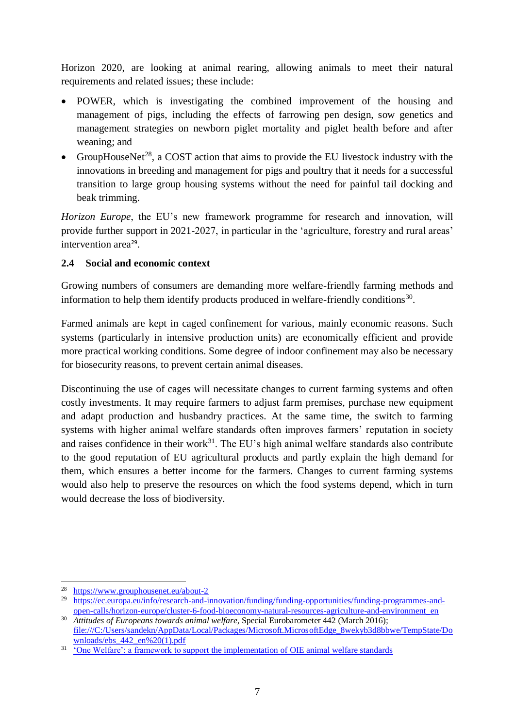Horizon 2020, are looking at animal rearing, allowing animals to meet their natural requirements and related issues; these include:

- POWER, which is investigating the combined improvement of the housing and management of pigs, including the effects of farrowing pen design, sow genetics and management strategies on newborn piglet mortality and piglet health before and after weaning; and
- GroupHouseNet<sup>28</sup>, a COST action that aims to provide the EU livestock industry with the innovations in breeding and management for pigs and poultry that it needs for a successful transition to large group housing systems without the need for painful tail docking and beak trimming.

*Horizon Europe*, the EU's new framework programme for research and innovation, will provide further support in 2021-2027, in particular in the 'agriculture, forestry and rural areas' intervention area<sup>29</sup>.

# **2.4 Social and economic context**

Growing numbers of consumers are demanding more welfare-friendly farming methods and information to help them identify products produced in welfare-friendly conditions<sup>30</sup>.

Farmed animals are kept in caged confinement for various, mainly economic reasons. Such systems (particularly in intensive production units) are economically efficient and provide more practical working conditions. Some degree of indoor confinement may also be necessary for biosecurity reasons, to prevent certain animal diseases.

Discontinuing the use of cages will necessitate changes to current farming systems and often costly investments. It may require farmers to adjust farm premises, purchase new equipment and adapt production and husbandry practices. At the same time, the switch to farming systems with higher animal welfare standards often improves farmers' reputation in society and raises confidence in their work<sup>31</sup>. The EU's high animal welfare standards also contribute to the good reputation of EU agricultural products and partly explain the high demand for them, which ensures a better income for the farmers. Changes to current farming systems would also help to preserve the resources on which the food systems depend, which in turn would decrease the loss of biodiversity.

<sup>1</sup> <sup>28</sup> <https://www.grouphousenet.eu/about-2>

<sup>&</sup>lt;sup>29</sup> [https://ec.europa.eu/info/research-and-innovation/funding/funding-opportunities/funding-programmes-and](https://ec.europa.eu/info/research-and-innovation/funding/funding-opportunities/funding-programmes-and-open-calls/horizon-europe/cluster-6-food-bioeconomy-natural-resources-agriculture-and-environment_en)[open-calls/horizon-europe/cluster-6-food-bioeconomy-natural-resources-agriculture-and-environment\\_en](https://ec.europa.eu/info/research-and-innovation/funding/funding-opportunities/funding-programmes-and-open-calls/horizon-europe/cluster-6-food-bioeconomy-natural-resources-agriculture-and-environment_en)

<sup>30</sup> *Attitudes of Europeans towards animal welfare*, Special Eurobarometer 442 (March 2016); [file:///C:/Users/sandekn/AppData/Local/Packages/Microsoft.MicrosoftEdge\\_8wekyb3d8bbwe/TempState/Do](file:///C:/Users/sandekn/AppData/Local/Packages/Microsoft.MicrosoftEdge_8wekyb3d8bbwe/TempState/Downloads/ebs_442_en%20(1).pdf) wnloads/ebs  $442$  en% $20(1)$ .pdf

<sup>&</sup>lt;sup>31</sup> ['One Welfare': a framework to support the implementation of OIE animal welfare standards](https://www.researchgate.net/publication/317661058_)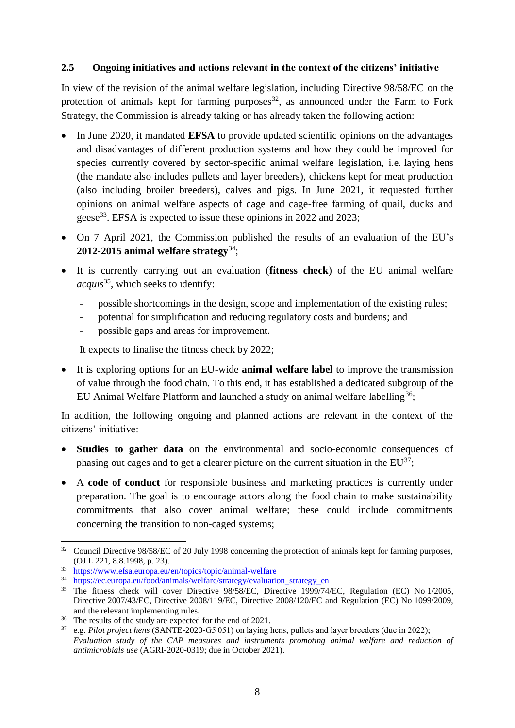#### **2.5 Ongoing initiatives and actions relevant in the context of the citizens' initiative**

In view of the revision of the animal welfare legislation, including Directive 98/58/EC on the protection of animals kept for farming purposes  $32$ , as announced under the Farm to Fork Strategy, the Commission is already taking or has already taken the following action:

- In June 2020, it mandated **EFSA** to provide updated scientific opinions on the advantages and disadvantages of different production systems and how they could be improved for species currently covered by sector-specific animal welfare legislation, i.e. laying hens (the mandate also includes pullets and layer breeders), chickens kept for meat production (also including broiler breeders), calves and pigs. In June 2021, it requested further opinions on animal welfare aspects of cage and cage-free farming of quail, ducks and geese<sup>33</sup>. EFSA is expected to issue these opinions in 2022 and 2023;
- On 7 April 2021, the Commission published the results of an evaluation of the EU's **2012-2015 animal welfare strategy**<sup>34</sup>;
- It is currently carrying out an evaluation (**fitness check**) of the EU animal welfare *acquis*<sup>35</sup>, which seeks to identify:
	- possible shortcomings in the design, scope and implementation of the existing rules;
	- potential for simplification and reducing regulatory costs and burdens; and
	- possible gaps and areas for improvement.

It expects to finalise the fitness check by 2022;

• It is exploring options for an EU-wide **animal welfare label** to improve the transmission of value through the food chain. To this end, it has established a dedicated subgroup of the EU Animal Welfare Platform and launched a study on animal welfare labelling<sup>36</sup>;

In addition, the following ongoing and planned actions are relevant in the context of the citizens' initiative:

- **Studies to gather data** on the environmental and socio-economic consequences of phasing out cages and to get a clearer picture on the current situation in the  $EU^{37}$ ;
- A **code of conduct** for responsible business and marketing practices is currently under preparation. The goal is to encourage actors along the food chain to make sustainability commitments that also cover animal welfare; these could include commitments concerning the transition to non-caged systems;

1

<sup>&</sup>lt;sup>32</sup> Council Directive 98/58/EC of 20 July 1998 concerning the protection of animals kept for farming purposes, (OJ L 221, 8.8.1998, p. 23).

<sup>33</sup> <https://www.efsa.europa.eu/en/topics/topic/animal-welfare>

<sup>&</sup>lt;sup>34</sup> [https://ec.europa.eu/food/animals/welfare/strategy/evaluation\\_strategy\\_en](https://ec.europa.eu/food/animals/welfare/strategy/evaluation_strategy_en)

<sup>&</sup>lt;sup>35</sup> The fitness check will cover Directive 98/58/EC, Directive 1999/74/EC, Regulation (EC) No 1/2005, Directive 2007/43/EC, Directive 2008/119/EC, Directive 2008/120/EC and Regulation (EC) No 1099/2009, and the relevant implementing rules.

<sup>&</sup>lt;sup>36</sup> The results of the study are expected for the end of 2021.

<sup>37</sup> e.g. *Pilot project hens* (SANTE-2020-G5 051) on laying hens, pullets and layer breeders (due in 2022); *Evaluation study of the CAP measures and instruments promoting animal welfare and reduction of antimicrobials use* (AGRI-2020-0319; due in October 2021).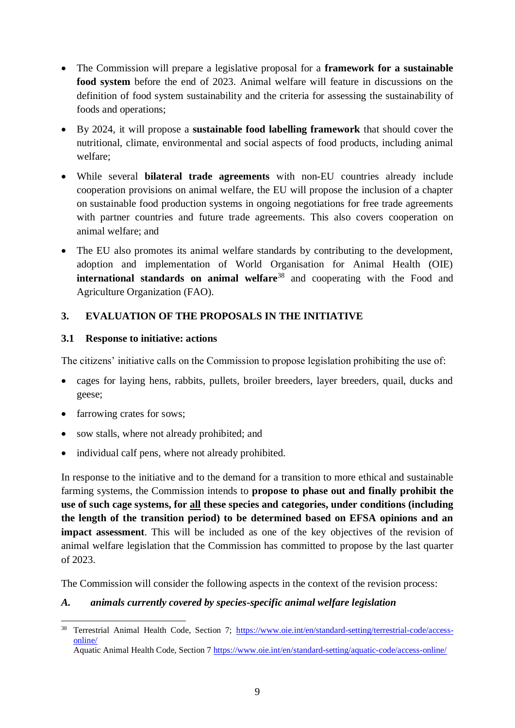- The Commission will prepare a legislative proposal for a **framework for a sustainable food system** before the end of 2023. Animal welfare will feature in discussions on the definition of food system sustainability and the criteria for assessing the sustainability of foods and operations;
- By 2024, it will propose a **sustainable food labelling framework** that should cover the nutritional, climate, environmental and social aspects of food products, including animal welfare;
- While several **bilateral trade agreements** with non-EU countries already include cooperation provisions on animal welfare, the EU will propose the inclusion of a chapter on sustainable food production systems in ongoing negotiations for free trade agreements with partner countries and future trade agreements. This also covers cooperation on animal welfare; and
- The EU also promotes its animal welfare standards by contributing to the development, adoption and implementation of World Organisation for Animal Health (OIE) **international standards on animal welfare**<sup>38</sup> and cooperating with the Food and Agriculture Organization (FAO).

# **3. EVALUATION OF THE PROPOSALS IN THE INITIATIVE**

# **3.1 Response to initiative: actions**

The citizens' initiative calls on the Commission to propose legislation prohibiting the use of:

- cages for laying hens, rabbits, pullets, broiler breeders, layer breeders, quail, ducks and geese;
- farrowing crates for sows;
- sow stalls, where not already prohibited; and
- individual calf pens, where not already prohibited.

In response to the initiative and to the demand for a transition to more ethical and sustainable farming systems, the Commission intends to **propose to phase out and finally prohibit the use of such cage systems, for all these species and categories, under conditions (including the length of the transition period) to be determined based on EFSA opinions and an impact assessment**. This will be included as one of the key objectives of the revision of animal welfare legislation that the Commission has committed to propose by the last quarter of 2023.

The Commission will consider the following aspects in the context of the revision process:

# *A. animals currently covered by species-specific animal welfare legislation*

<sup>38</sup> <sup>38</sup> Terrestrial Animal Health Code, Section 7; [https://www.oie.int/en/standard-setting/terrestrial-code/access](https://www.oie.int/en/standard-setting/terrestrial-code/access-online/)[online/](https://www.oie.int/en/standard-setting/terrestrial-code/access-online/)

Aquatic Animal Health Code, Section 7<https://www.oie.int/en/standard-setting/aquatic-code/access-online/>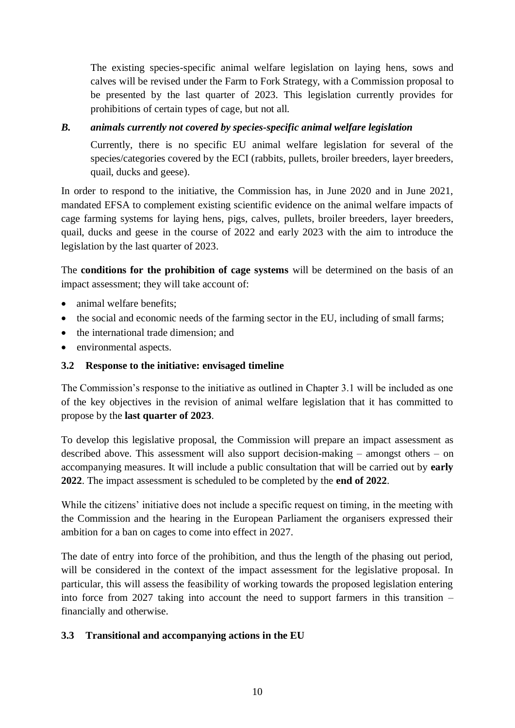The existing species-specific animal welfare legislation on laying hens, sows and calves will be revised under the Farm to Fork Strategy, with a Commission proposal to be presented by the last quarter of 2023. This legislation currently provides for prohibitions of certain types of cage, but not all.

#### *B. animals currently not covered by species-specific animal welfare legislation*

Currently, there is no specific EU animal welfare legislation for several of the species/categories covered by the ECI (rabbits, pullets, broiler breeders, layer breeders, quail, ducks and geese).

In order to respond to the initiative, the Commission has, in June 2020 and in June 2021, mandated EFSA to complement existing scientific evidence on the animal welfare impacts of cage farming systems for laying hens, pigs, calves, pullets, broiler breeders, layer breeders, quail, ducks and geese in the course of 2022 and early 2023 with the aim to introduce the legislation by the last quarter of 2023.

The **conditions for the prohibition of cage systems** will be determined on the basis of an impact assessment; they will take account of:

- animal welfare benefits;
- the social and economic needs of the farming sector in the EU, including of small farms;
- the international trade dimension; and
- environmental aspects.

#### **3.2 Response to the initiative: envisaged timeline**

The Commission's response to the initiative as outlined in Chapter 3.1 will be included as one of the key objectives in the revision of animal welfare legislation that it has committed to propose by the **last quarter of 2023**.

To develop this legislative proposal, the Commission will prepare an impact assessment as described above. This assessment will also support decision-making – amongst others – on accompanying measures. It will include a public consultation that will be carried out by **early 2022**. The impact assessment is scheduled to be completed by the **end of 2022**.

While the citizens' initiative does not include a specific request on timing, in the meeting with the Commission and the hearing in the European Parliament the organisers expressed their ambition for a ban on cages to come into effect in 2027.

The date of entry into force of the prohibition, and thus the length of the phasing out period, will be considered in the context of the impact assessment for the legislative proposal. In particular, this will assess the feasibility of working towards the proposed legislation entering into force from 2027 taking into account the need to support farmers in this transition – financially and otherwise.

#### **3.3 Transitional and accompanying actions in the EU**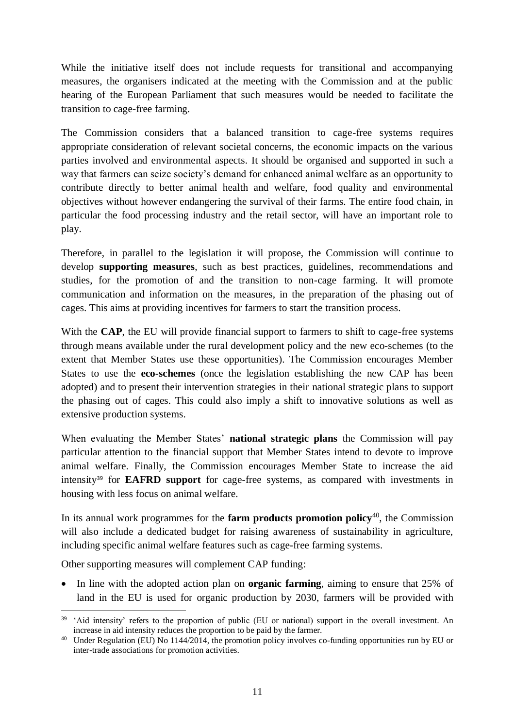While the initiative itself does not include requests for transitional and accompanying measures, the organisers indicated at the meeting with the Commission and at the public hearing of the European Parliament that such measures would be needed to facilitate the transition to cage-free farming.

The Commission considers that a balanced transition to cage-free systems requires appropriate consideration of relevant societal concerns, the economic impacts on the various parties involved and environmental aspects. It should be organised and supported in such a way that farmers can seize society's demand for enhanced animal welfare as an opportunity to contribute directly to better animal health and welfare, food quality and environmental objectives without however endangering the survival of their farms. The entire food chain, in particular the food processing industry and the retail sector, will have an important role to play.

Therefore, in parallel to the legislation it will propose, the Commission will continue to develop **supporting measures**, such as best practices, guidelines, recommendations and studies, for the promotion of and the transition to non-cage farming. It will promote communication and information on the measures, in the preparation of the phasing out of cages. This aims at providing incentives for farmers to start the transition process.

With the **CAP**, the EU will provide financial support to farmers to shift to cage-free systems through means available under the rural development policy and the new eco-schemes (to the extent that Member States use these opportunities). The Commission encourages Member States to use the **eco-schemes** (once the legislation establishing the new CAP has been adopted) and to present their intervention strategies in their national strategic plans to support the phasing out of cages. This could also imply a shift to innovative solutions as well as extensive production systems.

When evaluating the Member States' **national strategic plans** the Commission will pay particular attention to the financial support that Member States intend to devote to improve animal welfare. Finally, the Commission encourages Member State to increase the aid intensity<sup>39</sup> for **EAFRD support** for cage-free systems, as compared with investments in housing with less focus on animal welfare.

In its annual work programmes for the **farm products promotion policy**<sup>40</sup> , the Commission will also include a dedicated budget for raising awareness of sustainability in agriculture, including specific animal welfare features such as cage-free farming systems.

Other supporting measures will complement CAP funding:

• In line with the adopted action plan on **organic farming**, aiming to ensure that 25% of land in the EU is used for organic production by 2030, farmers will be provided with

<sup>1</sup> <sup>39</sup> 'Aid intensity' refers to the proportion of public (EU or national) support in the overall investment. An increase in aid intensity reduces the proportion to be paid by the farmer.

<sup>40</sup> Under Regulation (EU) No 1144/2014, the promotion policy involves co-funding opportunities run by EU or inter-trade associations for promotion activities.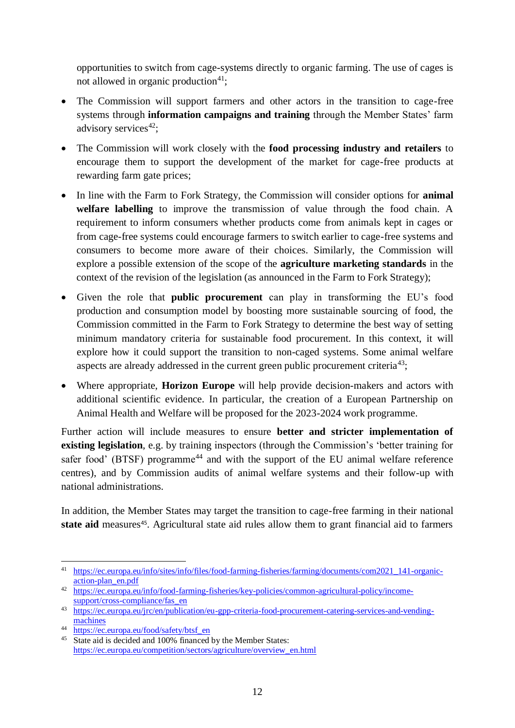opportunities to switch from cage-systems directly to organic farming. The use of cages is not allowed in organic production $41$ ;

- The Commission will support farmers and other actors in the transition to cage-free systems through **information campaigns and training** through the Member States' farm advisory services $42$ :
- The Commission will work closely with the **food processing industry and retailers** to encourage them to support the development of the market for cage-free products at rewarding farm gate prices;
- In line with the Farm to Fork Strategy, the Commission will consider options for **animal welfare labelling** to improve the transmission of value through the food chain. A requirement to inform consumers whether products come from animals kept in cages or from cage-free systems could encourage farmers to switch earlier to cage-free systems and consumers to become more aware of their choices. Similarly, the Commission will explore a possible extension of the scope of the **agriculture marketing standards** in the context of the revision of the legislation (as announced in the Farm to Fork Strategy);
- Given the role that **public procurement** can play in transforming the EU's food production and consumption model by boosting more sustainable sourcing of food, the Commission committed in the Farm to Fork Strategy to determine the best way of setting minimum mandatory criteria for sustainable food procurement. In this context, it will explore how it could support the transition to non-caged systems. Some animal welfare aspects are already addressed in the current green public procurement criteria<sup>43</sup>;
- Where appropriate, **Horizon Europe** will help provide decision-makers and actors with additional scientific evidence. In particular, the creation of a European Partnership on Animal Health and Welfare will be proposed for the 2023-2024 work programme.

Further action will include measures to ensure **better and stricter implementation of existing legislation**, e.g. by training inspectors (through the Commission's 'better training for safer food' (BTSF) programme<sup>44</sup> and with the support of the EU animal welfare reference centres), and by Commission audits of animal welfare systems and their follow-up with national administrations.

In addition, the Member States may target the transition to cage-free farming in their national state aid measures<sup>45</sup>. Agricultural state aid rules allow them to grant financial aid to farmers

 $\overline{a}$ <sup>41</sup> [https://ec.europa.eu/info/sites/info/files/food-farming-fisheries/farming/documents/com2021\\_141-organic](https://ec.europa.eu/info/sites/info/files/food-farming-fisheries/farming/documents/com2021_141-organic-action-plan_en.pdf)[action-plan\\_en.pdf](https://ec.europa.eu/info/sites/info/files/food-farming-fisheries/farming/documents/com2021_141-organic-action-plan_en.pdf)

<sup>42</sup> [https://ec.europa.eu/info/food-farming-fisheries/key-policies/common-agricultural-policy/income](https://ec.europa.eu/info/food-farming-fisheries/key-policies/common-agricultural-policy/income-support/cross-compliance/fas_en)[support/cross-compliance/fas\\_en](https://ec.europa.eu/info/food-farming-fisheries/key-policies/common-agricultural-policy/income-support/cross-compliance/fas_en)

<sup>43</sup> [https://ec.europa.eu/jrc/en/publication/eu-gpp-criteria-food-procurement-catering-services-and-vending](https://ec.europa.eu/jrc/en/publication/eu-gpp-criteria-food-procurement-catering-services-and-vending-machines)[machines](https://ec.europa.eu/jrc/en/publication/eu-gpp-criteria-food-procurement-catering-services-and-vending-machines)

<sup>44</sup> [https://ec.europa.eu/food/safety/btsf\\_en](https://ec.europa.eu/food/safety/btsf_en)

<sup>&</sup>lt;sup>45</sup> State aid is decided and 100% financed by the Member States: [https://ec.europa.eu/competition/sectors/agriculture/overview\\_en.html](https://ec.europa.eu/competition/sectors/agriculture/overview_en.html)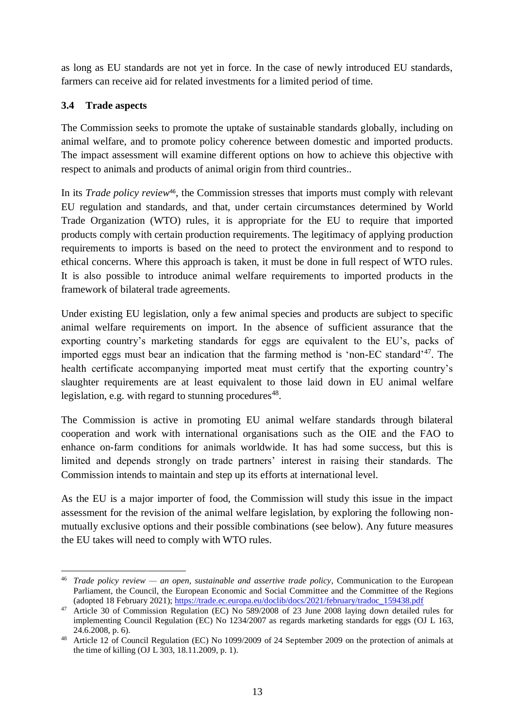as long as EU standards are not yet in force. In the case of newly introduced EU standards, farmers can receive aid for related investments for a limited period of time.

# **3.4 Trade aspects**

The Commission seeks to promote the uptake of sustainable standards globally, including on animal welfare, and to promote policy coherence between domestic and imported products. The impact assessment will examine different options on how to achieve this objective with respect to animals and products of animal origin from third countries..

In its *Trade policy review*46, the Commission stresses that imports must comply with relevant EU regulation and standards, and that, under certain circumstances determined by World Trade Organization (WTO) rules, it is appropriate for the EU to require that imported products comply with certain production requirements. The legitimacy of applying production requirements to imports is based on the need to protect the environment and to respond to ethical concerns. Where this approach is taken, it must be done in full respect of WTO rules. It is also possible to introduce animal welfare requirements to imported products in the framework of bilateral trade agreements.

Under existing EU legislation, only a few animal species and products are subject to specific animal welfare requirements on import. In the absence of sufficient assurance that the exporting country's marketing standards for eggs are equivalent to the EU's, packs of imported eggs must bear an indication that the farming method is 'non-EC standard'<sup>47</sup>. The health certificate accompanying imported meat must certify that the exporting country's slaughter requirements are at least equivalent to those laid down in EU animal welfare legislation, e.g. with regard to stunning procedures<sup>48</sup>.

The Commission is active in promoting EU animal welfare standards through bilateral cooperation and work with international organisations such as the OIE and the FAO to enhance on-farm conditions for animals worldwide. It has had some success, but this is limited and depends strongly on trade partners' interest in raising their standards. The Commission intends to maintain and step up its efforts at international level.

As the EU is a major importer of food, the Commission will study this issue in the impact assessment for the revision of the animal welfare legislation, by exploring the following nonmutually exclusive options and their possible combinations (see below). Any future measures the EU takes will need to comply with WTO rules.

 $\overline{a}$ <sup>46</sup> *Trade policy review — an open, sustainable and assertive trade policy*, Communication to the European Parliament, the Council, the European Economic and Social Committee and the Committee of the Regions (adopted 18 February 2021); [https://trade.ec.europa.eu/doclib/docs/2021/february/tradoc\\_159438.pdf](https://trade.ec.europa.eu/doclib/docs/2021/february/tradoc_159438.pdf)

<sup>47</sup> Article 30 of Commission Regulation (EC) No 589/2008 of 23 June 2008 laying down detailed rules for implementing Council Regulation (EC) No 1234/2007 as regards marketing standards for eggs (OJ L 163, 24.6.2008, p. 6).

<sup>48</sup> Article 12 of Council Regulation (EC) No 1099/2009 of 24 September 2009 on the protection of animals at the time of killing (OJ L 303, 18.11.2009, p. 1).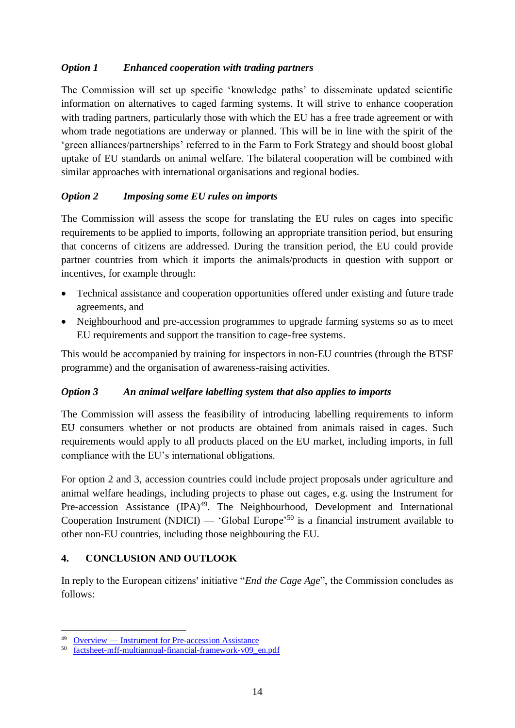#### *Option 1 Enhanced cooperation with trading partners*

The Commission will set up specific 'knowledge paths' to disseminate updated scientific information on alternatives to caged farming systems. It will strive to enhance cooperation with trading partners, particularly those with which the EU has a free trade agreement or with whom trade negotiations are underway or planned. This will be in line with the spirit of the 'green alliances/partnerships' referred to in the Farm to Fork Strategy and should boost global uptake of EU standards on animal welfare. The bilateral cooperation will be combined with similar approaches with international organisations and regional bodies.

# *Option 2 Imposing some EU rules on imports*

The Commission will assess the scope for translating the EU rules on cages into specific requirements to be applied to imports, following an appropriate transition period, but ensuring that concerns of citizens are addressed. During the transition period, the EU could provide partner countries from which it imports the animals/products in question with support or incentives, for example through:

- Technical assistance and cooperation opportunities offered under existing and future trade agreements, and
- Neighbourhood and pre-accession programmes to upgrade farming systems so as to meet EU requirements and support the transition to cage-free systems.

This would be accompanied by training for inspectors in non-EU countries (through the BTSF programme) and the organisation of awareness-raising activities.

#### *Option 3 An animal welfare labelling system that also applies to imports*

The Commission will assess the feasibility of introducing labelling requirements to inform EU consumers whether or not products are obtained from animals raised in cages. Such requirements would apply to all products placed on the EU market, including imports, in full compliance with the EU's international obligations.

For option 2 and 3, accession countries could include project proposals under agriculture and animal welfare headings, including projects to phase out cages, e.g. using the Instrument for Pre-accession Assistance (IPA)<sup>49</sup>. The Neighbourhood, Development and International Cooperation Instrument (NDICI) — 'Global Europe'<sup>50</sup> is a financial instrument available to other non-EU countries, including those neighbouring the EU.

# **4. CONCLUSION AND OUTLOOK**

In reply to the European citizens' initiative "*End the Cage Age*", the Commission concludes as follows:

 $\overline{a}$ 

<sup>&</sup>lt;sup>49</sup> <u>Overview — [Instrument for Pre-accession Assistance](https://ec.europa.eu/neighbourhood-enlargement/instruments/overview_en#:~:text=The%20Instrument%20for%20Pre-accession%20Assistance%20%28IPA%29%20is%20the,resulting%20in%20progressive%2C%20positive%20developments%20in%20the%20region.)</u><br>50 factsheet-mff-multiannual-financial-framework-v09 e

[factsheet-mff-multiannual-financial-framework-v09\\_en.pdf](https://ec.europa.eu/international-partnerships/system/files/factsheet-mff-multiannual-financial-framework-v09_en.pdf)